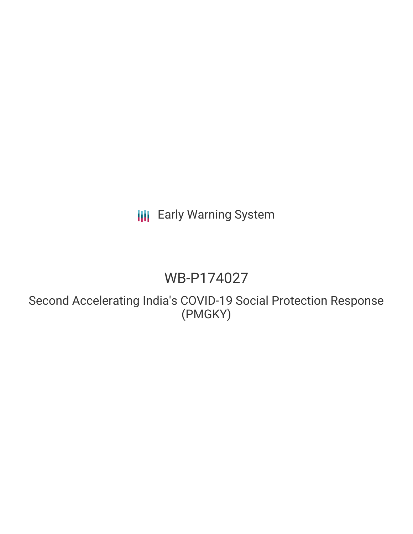# **III** Early Warning System

# WB-P174027

Second Accelerating India's COVID-19 Social Protection Response (PMGKY)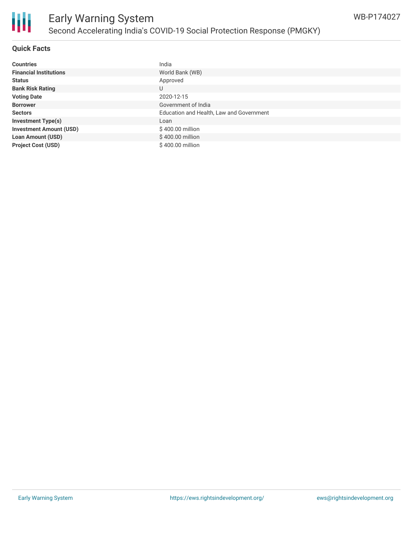

#### **Quick Facts**

| <b>Countries</b>               | India                                    |
|--------------------------------|------------------------------------------|
| <b>Financial Institutions</b>  | World Bank (WB)                          |
| <b>Status</b>                  | Approved                                 |
| <b>Bank Risk Rating</b>        | U                                        |
| <b>Voting Date</b>             | 2020-12-15                               |
| <b>Borrower</b>                | Government of India                      |
| <b>Sectors</b>                 | Education and Health, Law and Government |
| <b>Investment Type(s)</b>      | Loan                                     |
| <b>Investment Amount (USD)</b> | \$400.00 million                         |
| <b>Loan Amount (USD)</b>       | \$400.00 million                         |
| <b>Project Cost (USD)</b>      | \$400.00 million                         |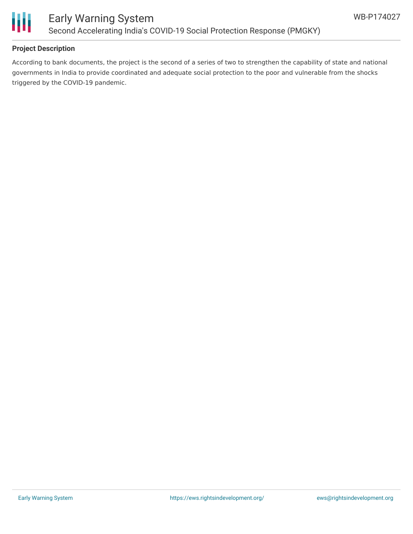

#### **Project Description**

According to bank documents, the project is the second of a series of two to strengthen the capability of state and national governments in India to provide coordinated and adequate social protection to the poor and vulnerable from the shocks triggered by the COVID-19 pandemic.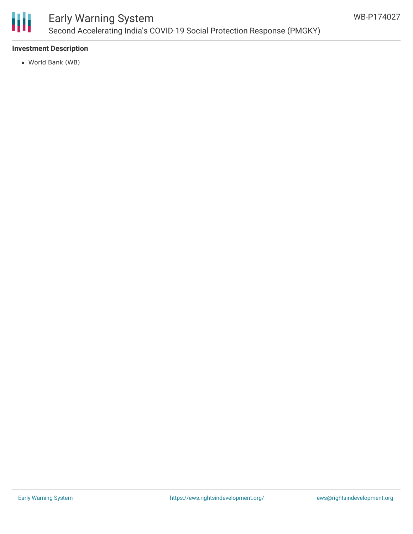

## Early Warning System Second Accelerating India's COVID-19 Social Protection Response (PMGKY)

#### **Investment Description**

World Bank (WB)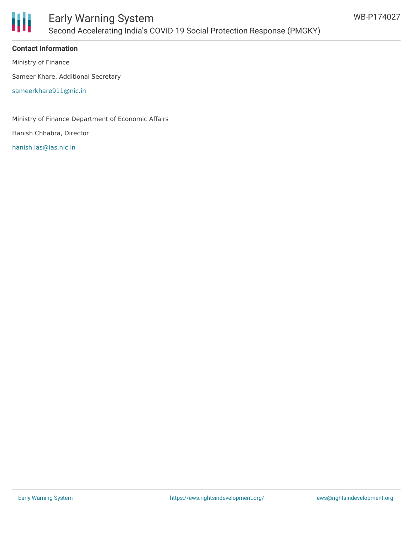

### Early Warning System Second Accelerating India's COVID-19 Social Protection Response (PMGKY)

#### **Contact Information**

Ministry of Finance

Sameer Khare, Additional Secretary

[sameerkhare911@nic.in](mailto:sameerkhare911@nic.in)

Ministry of Finance Department of Economic Affairs

Hanish Chhabra, Director

[hanish.ias@ias.nic.in](mailto:hanish.ias@ias.nic.in)